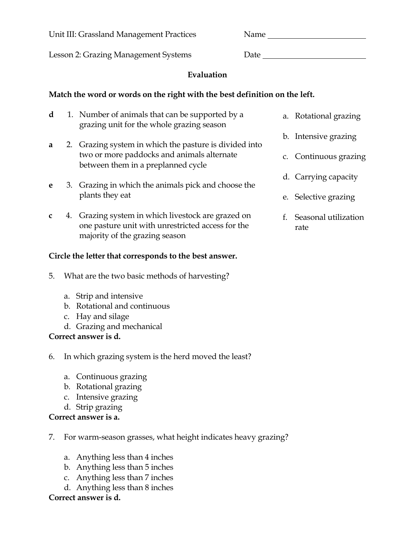Unit III: Grassland Management Practices Name

Lesson 2: Grazing Management Systems Date Date

# **Evaluation**

## **Match the word or words on the right with the best definition on the left.**

- **d** 1. Number of animals that can be supported by a grazing unit for the whole grazing season
- **a** 2. Grazing system in which the pasture is divided into two or more paddocks and animals alternate between them in a preplanned cycle
- **e** 3. Grazing in which the animals pick and choose the plants they eat
- **c** 4. Grazing system in which livestock are grazed on one pasture unit with unrestricted access for the majority of the grazing season

## **Circle the letter that corresponds to the best answer.**

- 5. What are the two basic methods of harvesting?
	- a. Strip and intensive
	- b. Rotational and continuous
	- c. Hay and silage
	- d. Grazing and mechanical

## **Correct answer is d.**

- 6. In which grazing system is the herd moved the least?
	- a. Continuous grazing
	- b. Rotational grazing
	- c. Intensive grazing
	- d. Strip grazing

# **Correct answer is a.**

- 7. For warm-season grasses, what height indicates heavy grazing?
	- a. Anything less than 4 inches
	- b. Anything less than 5 inches
	- c. Anything less than 7 inches
	- d. Anything less than 8 inches

## **Correct answer is d.**

- a. Rotational grazing
- b. Intensive grazing
- c. Continuous grazing
- d. Carrying capacity
- e. Selective grazing
- f. Seasonal utilization rate